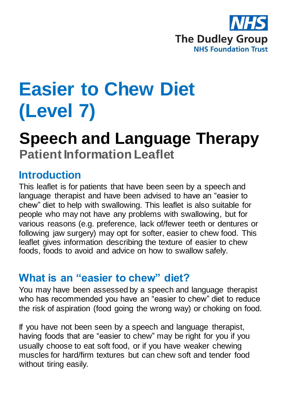

# **Easier to Chew Diet (Level 7)**

## **Speech and Language Therapy Patient Information Leaflet**

### **Introduction**

This leaflet is for patients that have been seen by a speech and language therapist and have been advised to have an "easier to chew" diet to help with swallowing. This leaflet is also suitable for people who may not have any problems with swallowing, but for various reasons (e.g. preference, lack of/fewer teeth or dentures or following jaw surgery) may opt for softer, easier to chew food. This leaflet gives information describing the texture of easier to chew foods, foods to avoid and advice on how to swallow safely.

## **What is an "easier to chew" diet?**

You may have been assessed by a speech and language therapist who has recommended you have an "easier to chew" diet to reduce the risk of aspiration (food going the wrong way) or choking on food.

If you have not been seen by a speech and language therapist, having foods that are "easier to chew" may be right for you if you usually choose to eat soft food, or if you have weaker chewing muscles for hard/firm textures but can chew soft and tender food without tiring easily.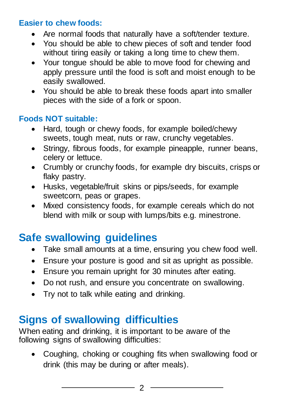#### **Easier to chew foods:**

- Are normal foods that naturally have a soft/tender texture.
- You should be able to chew pieces of soft and tender food without tiring easily or taking a long time to chew them.
- Your tongue should be able to move food for chewing and apply pressure until the food is soft and moist enough to be easily swallowed.
- You should be able to break these foods apart into smaller pieces with the side of a fork or spoon.

#### **Foods NOT suitable:**

- Hard, tough or chewy foods, for example boiled/chewy sweets, tough meat, nuts or raw, crunchy vegetables.
- Stringy, fibrous foods, for example pineapple, runner beans, celery or lettuce.
- Crumbly or crunchy foods, for example dry biscuits, crisps or flaky pastry.
- Husks, vegetable/fruit skins or pips/seeds, for example sweetcorn, peas or grapes.
- Mixed consistency foods, for example cereals which do not blend with milk or soup with lumps/bits e.g. minestrone.

## **Safe swallowing guidelines**

- Take small amounts at a time, ensuring you chew food well.
- Ensure your posture is good and sit as upright as possible.
- Ensure you remain upright for 30 minutes after eating.
- Do not rush, and ensure you concentrate on swallowing.
- Try not to talk while eating and drinking.

## **Signs of swallowing difficulties**

When eating and drinking, it is important to be aware of the following signs of swallowing difficulties:

 Coughing, choking or coughing fits when swallowing food or drink (this may be during or after meals).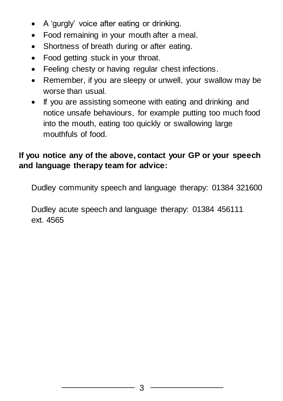- A 'gurgly' voice after eating or drinking.
- Food remaining in your mouth after a meal.
- Shortness of breath during or after eating.
- Food getting stuck in your throat.
- Feeling chesty or having regular chest infections.
- Remember, if you are sleepy or unwell, your swallow may be worse than usual.
- If you are assisting someone with eating and drinking and notice unsafe behaviours, for example putting too much food into the mouth, eating too quickly or swallowing large mouthfuls of food.

#### **If you notice any of the above, contact your GP or your speech and language therapy team for advice:**

Dudley community speech and language therapy: 01384 321600

Dudley acute speech and language therapy: 01384 456111 ext. 4565